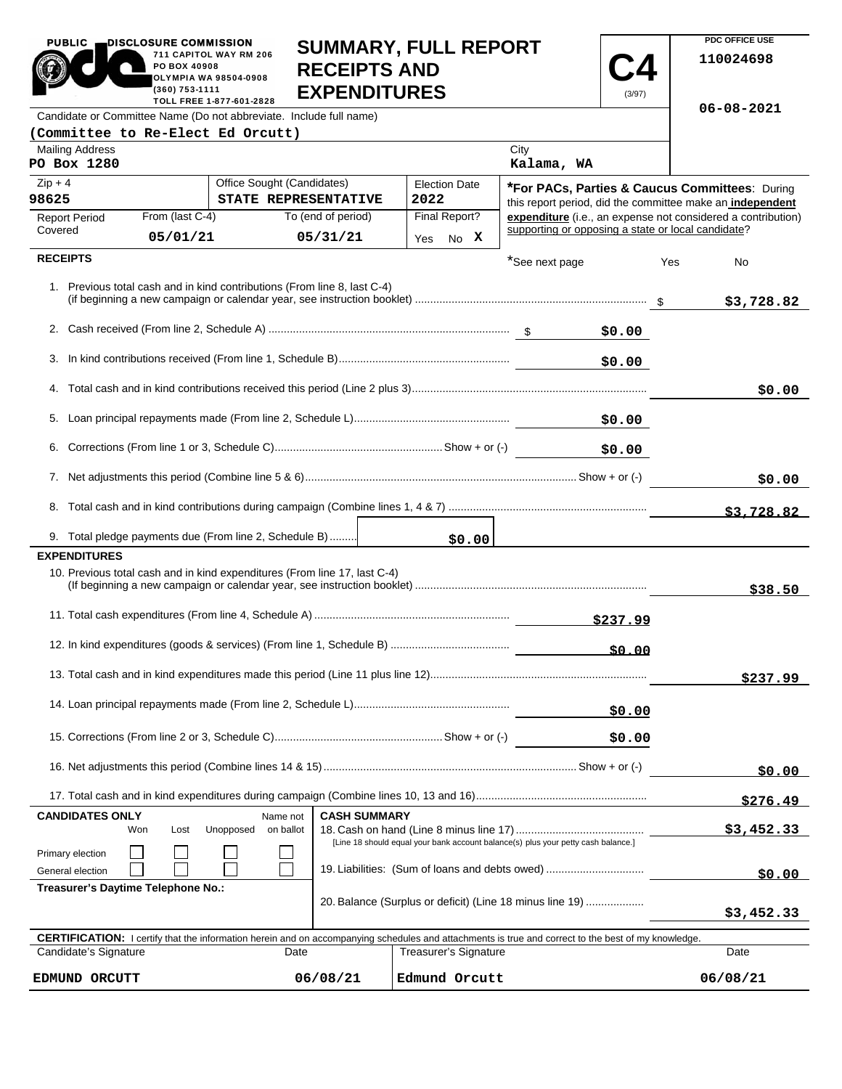| $\blacksquare$ PO BOX 40908<br><b>RECEIPTS AND</b><br><b>OLYMPIA WA 98504-0908</b><br>(360) 753-1111<br><b>EXPENDITURES</b><br>TOLL FREE 1-877-601-2828                                                                     |                                   |                                                                           |                              |  |                                                    |                                                                                                             |            |                                                              |                  |
|-----------------------------------------------------------------------------------------------------------------------------------------------------------------------------------------------------------------------------|-----------------------------------|---------------------------------------------------------------------------|------------------------------|--|----------------------------------------------------|-------------------------------------------------------------------------------------------------------------|------------|--------------------------------------------------------------|------------------|
|                                                                                                                                                                                                                             |                                   | Candidate or Committee Name (Do not abbreviate. Include full name)        |                              |  |                                                    |                                                                                                             |            |                                                              | $06 - 08 - 2021$ |
| <b>Mailing Address</b>                                                                                                                                                                                                      | (Committee to Re-Elect Ed Orcutt) |                                                                           |                              |  |                                                    | City                                                                                                        |            |                                                              |                  |
| PO Box 1280                                                                                                                                                                                                                 |                                   |                                                                           |                              |  |                                                    | Kalama, WA                                                                                                  |            |                                                              |                  |
| Office Sought (Candidates)<br>$Zip + 4$<br>98625<br>STATE REPRESENTATIVE                                                                                                                                                    |                                   |                                                                           | <b>Election Date</b><br>2022 |  |                                                    | *For PACs, Parties & Caucus Committees: During<br>this report period, did the committee make an independent |            |                                                              |                  |
| From (last C-4)<br><b>Report Period</b><br>Covered<br>05/01/21                                                                                                                                                              |                                   | To (end of period)<br>05/31/21                                            | Final Report?<br>No X<br>Yes |  | supporting or opposing a state or local candidate? |                                                                                                             |            | expenditure (i.e., an expense not considered a contribution) |                  |
| <b>RECEIPTS</b>                                                                                                                                                                                                             |                                   |                                                                           |                              |  |                                                    | *See next page                                                                                              |            | Yes                                                          | No               |
|                                                                                                                                                                                                                             |                                   | 1. Previous total cash and in kind contributions (From line 8, last C-4)  |                              |  |                                                    |                                                                                                             |            |                                                              | \$3,728.82       |
|                                                                                                                                                                                                                             |                                   |                                                                           |                              |  |                                                    |                                                                                                             | \$0.00     |                                                              |                  |
| 3.                                                                                                                                                                                                                          |                                   |                                                                           |                              |  |                                                    |                                                                                                             | \$0.00     |                                                              |                  |
|                                                                                                                                                                                                                             |                                   |                                                                           |                              |  |                                                    |                                                                                                             |            |                                                              | \$0.00           |
| 5.                                                                                                                                                                                                                          |                                   |                                                                           |                              |  |                                                    |                                                                                                             | \$0.00     |                                                              |                  |
|                                                                                                                                                                                                                             |                                   |                                                                           |                              |  |                                                    |                                                                                                             | \$0.00     |                                                              |                  |
|                                                                                                                                                                                                                             |                                   |                                                                           |                              |  |                                                    |                                                                                                             |            | \$0.00                                                       |                  |
|                                                                                                                                                                                                                             |                                   |                                                                           |                              |  |                                                    |                                                                                                             |            |                                                              | \$3,728.82       |
|                                                                                                                                                                                                                             |                                   | 9. Total pledge payments due (From line 2, Schedule B)                    |                              |  | \$0.00                                             |                                                                                                             |            |                                                              |                  |
| <b>EXPENDITURES</b>                                                                                                                                                                                                         |                                   |                                                                           |                              |  |                                                    |                                                                                                             |            |                                                              |                  |
|                                                                                                                                                                                                                             |                                   | 10. Previous total cash and in kind expenditures (From line 17, last C-4) |                              |  |                                                    |                                                                                                             |            |                                                              | \$38.50          |
|                                                                                                                                                                                                                             |                                   |                                                                           |                              |  |                                                    |                                                                                                             |            |                                                              |                  |
|                                                                                                                                                                                                                             |                                   |                                                                           |                              |  |                                                    | \$0.00                                                                                                      |            |                                                              |                  |
|                                                                                                                                                                                                                             |                                   |                                                                           |                              |  |                                                    |                                                                                                             |            | \$237.99                                                     |                  |
|                                                                                                                                                                                                                             |                                   |                                                                           |                              |  |                                                    | \$0.00                                                                                                      |            |                                                              |                  |
|                                                                                                                                                                                                                             |                                   |                                                                           |                              |  |                                                    |                                                                                                             | \$0.00     |                                                              |                  |
|                                                                                                                                                                                                                             |                                   |                                                                           |                              |  |                                                    |                                                                                                             |            | \$0.00                                                       |                  |
|                                                                                                                                                                                                                             |                                   |                                                                           |                              |  |                                                    |                                                                                                             |            |                                                              | \$276.49         |
| <b>CANDIDATES ONLY</b><br><b>CASH SUMMARY</b><br>Name not<br>Won<br>Unopposed<br>on ballot<br>Lost                                                                                                                          |                                   |                                                                           |                              |  |                                                    |                                                                                                             | \$3,452.33 |                                                              |                  |
| [Line 18 should equal your bank account balance(s) plus your petty cash balance.]<br>Primary election                                                                                                                       |                                   |                                                                           |                              |  |                                                    |                                                                                                             |            |                                                              |                  |
| 19. Liabilities: (Sum of loans and debts owed)<br>General election<br>Treasurer's Daytime Telephone No.:                                                                                                                    |                                   |                                                                           |                              |  |                                                    | \$0.00                                                                                                      |            |                                                              |                  |
| 20. Balance (Surplus or deficit) (Line 18 minus line 19)                                                                                                                                                                    |                                   |                                                                           |                              |  |                                                    |                                                                                                             | \$3,452.33 |                                                              |                  |
| <b>CERTIFICATION:</b> I certify that the information herein and on accompanying schedules and attachments is true and correct to the best of my knowledge.<br>Candidate's Signature<br><b>Treasurer's Signature</b><br>Date |                                   |                                                                           |                              |  |                                                    |                                                                                                             | Date       |                                                              |                  |
|                                                                                                                                                                                                                             |                                   |                                                                           |                              |  |                                                    |                                                                                                             |            |                                                              |                  |

**SUMMARY, FULL REPORT** 

 $\sim$   $\sim$ 

**PDC OFFICE USE** 

**110024698**

 $06/08/21$ 

**RECEIPTS AND** 

PUBLIC **DISCLOSURE COMMISSION** 

**Common** 

711 CAPITOL WAY RM 206

**EDMUND ORCUTT 06/08/21 Edmund Orcutt 06/08/21**